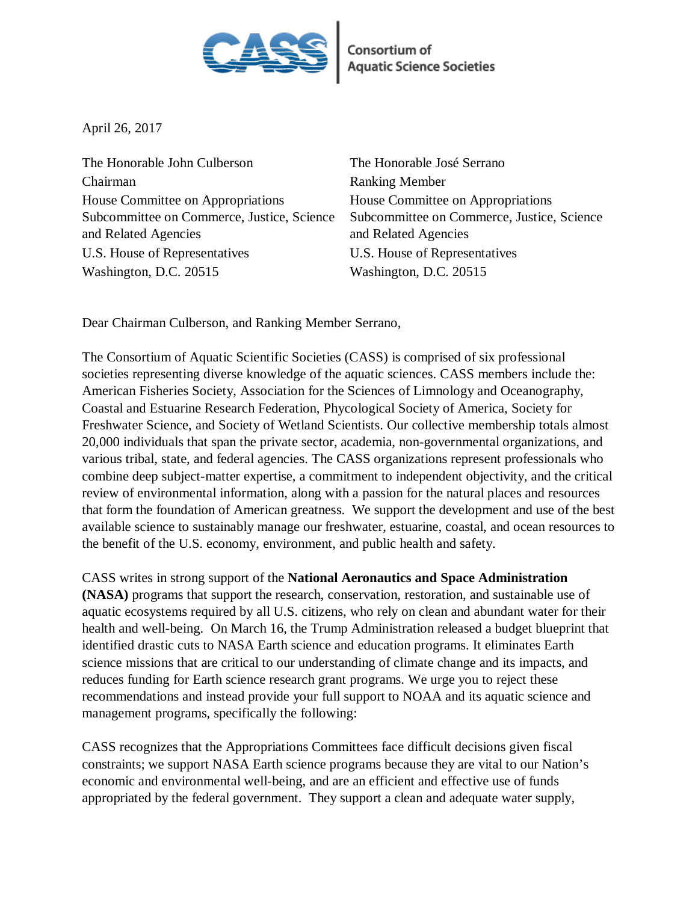

**Consortium of<br>Aquatic Science Societies** 

April 26, 2017

The Honorable John Culberson The Honorable José Serrano Chairman Ranking Member House Committee on Appropriations Subcommittee on Commerce, Justice, Science and Related Agencies U.S. House of Representatives U.S. House of Representatives Washington, D.C. 20515 Washington, D.C. 20515

House Committee on Appropriations Subcommittee on Commerce, Justice, Science and Related Agencies

Dear Chairman Culberson, and Ranking Member Serrano,

The Consortium of Aquatic Scientific Societies (CASS) is comprised of six professional societies representing diverse knowledge of the aquatic sciences. CASS members include the: American Fisheries Society, Association for the Sciences of Limnology and Oceanography, Coastal and Estuarine Research Federation, Phycological Society of America, Society for Freshwater Science, and Society of Wetland Scientists. Our collective membership totals almost 20,000 individuals that span the private sector, academia, non-governmental organizations, and various tribal, state, and federal agencies. The CASS organizations represent professionals who combine deep subject-matter expertise, a commitment to independent objectivity, and the critical review of environmental information, along with a passion for the natural places and resources that form the foundation of American greatness. We support the development and use of the best available science to sustainably manage our freshwater, estuarine, coastal, and ocean resources to the benefit of the U.S. economy, environment, and public health and safety.

CASS writes in strong support of the **National Aeronautics and Space Administration (NASA)** programs that support the research, conservation, restoration, and sustainable use of aquatic ecosystems required by all U.S. citizens, who rely on clean and abundant water for their health and well-being. On March 16, the Trump Administration released a budget blueprint that identified drastic cuts to NASA Earth science and education programs. It eliminates Earth science missions that are critical to our understanding of climate change and its impacts, and reduces funding for Earth science research grant programs. We urge you to reject these recommendations and instead provide your full support to NOAA and its aquatic science and management programs, specifically the following:

CASS recognizes that the Appropriations Committees face difficult decisions given fiscal constraints; we support NASA Earth science programs because they are vital to our Nation's economic and environmental well-being, and are an efficient and effective use of funds appropriated by the federal government. They support a clean and adequate water supply,